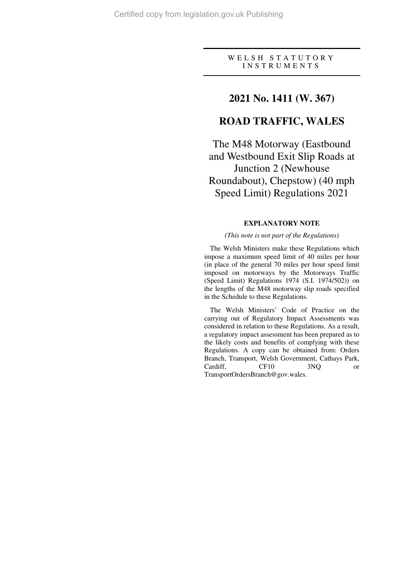### W E L S H S T A T U T O R Y I N S T R U M E N T S

## **2021 No. 1411 (W. 367)**

# **ROAD TRAFFIC, WALES**

The M48 Motorway (Eastbound and Westbound Exit Slip Roads at Junction 2 (Newhouse Roundabout), Chepstow) (40 mph Speed Limit) Regulations 2021

### **EXPLANATORY NOTE**

#### *(This note is not part of the Regulations)*

The Welsh Ministers make these Regulations which impose a maximum speed limit of 40 miles per hour (in place of the general 70 miles per hour speed limit imposed on motorways by the Motorways Traffic (Speed Limit) Regulations 1974 (S.I. 1974/502)) on the lengths of the M48 motorway slip roads specified in the Schedule to these Regulations.

The Welsh Ministers' Code of Practice on the carrying out of Regulatory Impact Assessments was considered in relation to these Regulations. As a result, a regulatory impact assessment has been prepared as to the likely costs and benefits of complying with these Regulations. A copy can be obtained from: Orders Branch, Transport, Welsh Government, Cathays Park, Cardiff, CF10 3NQ or TransportOrdersBranch@gov.wales.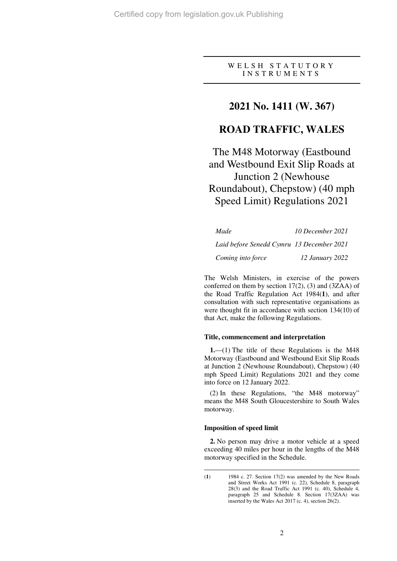W E L S H S T A T U T O R Y I N S T R U M E N T S

# **2021 No. 1411 (W. 367)**

# **ROAD TRAFFIC, WALES**

The M48 Motorway (Eastbound and Westbound Exit Slip Roads at Junction 2 (Newhouse Roundabout), Chepstow) (40 mph Speed Limit) Regulations 2021

| Made                                      | 10 December 2021 |
|-------------------------------------------|------------------|
| Laid before Senedd Cymru 13 December 2021 |                  |
| Coming into force                         | 12 January 2022  |

The Welsh Ministers, in exercise of the powers conferred on them by section 17(2), (3) and (3ZAA) of the Road Traffic Regulation Act 1984(**1**), and after consultation with such representative organisations as were thought fit in accordance with section 134(10) of that Act, make the following Regulations.

#### **Title, commencement and interpretation**

**1.**—(1) The title of these Regulations is the M48 Motorway (Eastbound and Westbound Exit Slip Roads at Junction 2 (Newhouse Roundabout), Chepstow) (40 mph Speed Limit) Regulations 2021 and they come into force on 12 January 2022.

(2) In these Regulations, "the M48 motorway" means the M48 South Gloucestershire to South Wales motorway.

#### **Imposition of speed limit**

**2.** No person may drive a motor vehicle at a speed exceeding 40 miles per hour in the lengths of the M48 motorway specified in the Schedule.

 $\overline{a}$ (**1**) 1984 c. 27. Section 17(2) was amended by the New Roads and Street Works Act 1991 (c. 22), Schedule 8, paragraph 28(3) and the Road Traffic Act 1991 (c. 40), Schedule 4, paragraph 25 and Schedule 8. Section 17(3ZAA) was inserted by the Wales Act 2017 (c. 4), section 26(2).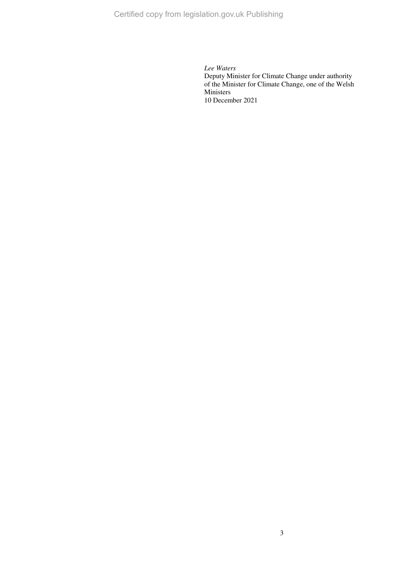Certified copy from legislation.gov.uk Publishing

*Lee Waters*  Deputy Minister for Climate Change under authority of the Minister for Climate Change, one of the Welsh Ministers 10 December 2021